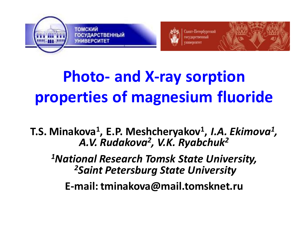



\анкт-Петербургский



# **Photo- and X-ray sorption properties of magnesium fluoride**

**T.S. Minakova<sup>1</sup> , E.P. Meshcheryakov<sup>1</sup> ,** *I.A. Ekimova<sup>1</sup> , A.V. Rudakova<sup>2</sup> , V.K. Ryabchuk<sup>2</sup>*

*<sup>1</sup>National Research Tomsk State University, <sup>2</sup>Saint Petersburg State University*

**E-mail: tminakova@mail.tomsknet.ru**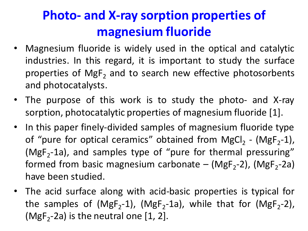- Magnesium fluoride is widely used in the optical and catalytic industries. In this regard, it is important to study the surface properties of MgF<sub>2</sub> and to search new effective photosorbents and photocatalysts.
- The purpose of this work is to study the photo- and X-ray sorption, photocatalytic properties of magnesium fluoride [1].
- In this paper finely-divided samples of magnesium fluoride type of "pure for optical ceramics" obtained from MgCl<sub>2</sub> - (MgF<sub>2</sub>-1), ( $MgF_2$ -1a), and samples type of "pure for thermal pressuring" formed from basic magnesium carbonate – (MgF<sub>2</sub>-2), (MgF<sub>2</sub>-2a) have been studied.
- The acid surface along with acid-basic properties is typical for the samples of (MgF<sub>2</sub>-1), (MgF<sub>2</sub>-1a), while that for (MgF<sub>2</sub>-2), (MgF<sub>2</sub>-2a) is the neutral one  $[1, 2]$ .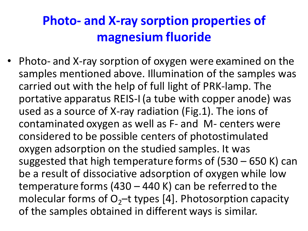• Photo- and X-ray sorption of oxygen were examined on the samples mentioned above. Illumination of the samples was carried out with the help of full light of PRK-lamp. The portative apparatus REIS-I (a tube with copper anode) was used as a source of X-ray radiation (Fig.1). The ions of contaminated oxygen as well as F- and M- centers were considered to be possible centers of photostimulated oxygen adsorption on the studied samples. It was suggested that high temperature forms of (530 – 650 K) can be a result of dissociative adsorption of oxygen while low temperature forms (430 – 440 K) can be referred to the molecular forms of  $O<sub>2</sub>$ -t types [4]. Photosorption capacity of the samples obtained in different ways is similar.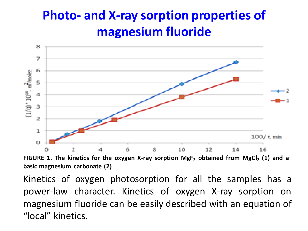

**FIGURE 1. The kinetics for the oxygen X-ray sorption MgF<sup>2</sup> obtained from MgCl<sup>2</sup> (1) and a basic magnesium carbonate (2)**

Kinetics of oxygen photosorption for all the samples has a power-law character. Kinetics of oxygen X-ray sorption on magnesium fluoride can be easily described with an equation of "local" kinetics.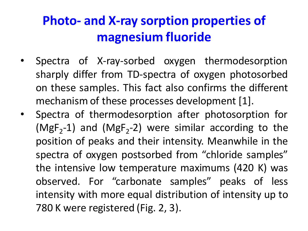- Spectra of X-ray-sorbed oxygen thermodesorption sharply differ from TD-spectra of oxygen photosorbed on these samples. This fact also confirms the different mechanism of these processes development [1].
- Spectra of thermodesorption after photosorption for ( $MgF_2$ -1) and ( $MgF_2$ -2) were similar according to the position of peaks and their intensity. Meanwhile in the spectra of oxygen postsorbed from "chloride samples" the intensive low temperature maximums (420 K) was observed. For "carbonate samples" peaks of less intensity with more equal distribution of intensity up to 780 K were registered (Fig. 2, 3).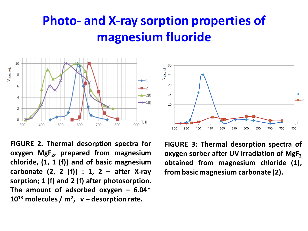30

25

20

15

10

5

300

350

400

450

V<sub>des, rel.</sub>



**FIGURE 2. Thermal desorption spectra for oxygen MgF<sup>2</sup> , prepared from magnesium chloride, (1, 1 (f)) and of basic magnesium carbonate (2, 2 (f)) : 1, 2 – after X-ray sorption; 1 (f) and 2 (f) after photosorption. The amount of adsorbed oxygen – 6.04\* 10<sup>13</sup> molecules / m<sup>2</sup> , v – desorption rate.**

**FIGURE 3: Thermal desorption spectra of oxygen sorber after UV irradiation of MgF<sup>2</sup> obtained from magnesium chloride (1), from basic magnesium carbonate (2).**

550

600

650

700

750

500

J, K

800